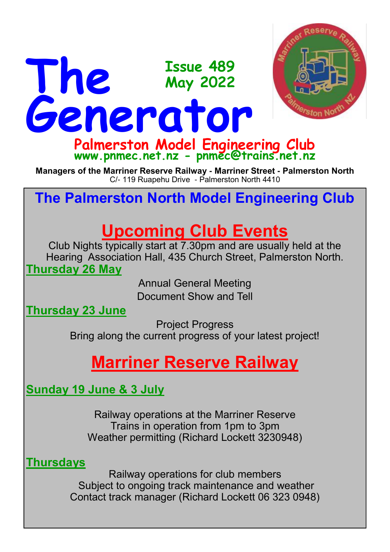

**Palmerston Model Engineering Club www.pnmec.net.nz - pnmec@trains.net.nz**

**Managers of the Marriner Reserve Railway - Marriner Street - Palmerston North** C/- 119 Ruapehu Drive - Palmerston North 4410

# **The Palmerston North Model Engineering Club**

# **Upcoming Club Events**

Club Nights typically start at 7.30pm and are usually held at the Hearing Association Hall, 435 Church Street, Palmerston North. **Thursday 26 May**

> Annual General Meeting Document Show and Tell

**Thursday 23 June**

Project Progress

Bring along the current progress of your latest project!

# **Marriner Reserve Railway**

**Sunday 19 June & 3 July**

Railway operations at the Marriner Reserve Trains in operation from 1pm to 3pm Weather permitting (Richard Lockett 3230948)

**Thursdays**

Railway operations for club members Subject to ongoing track maintenance and weather Contact track manager (Richard Lockett 06 323 0948)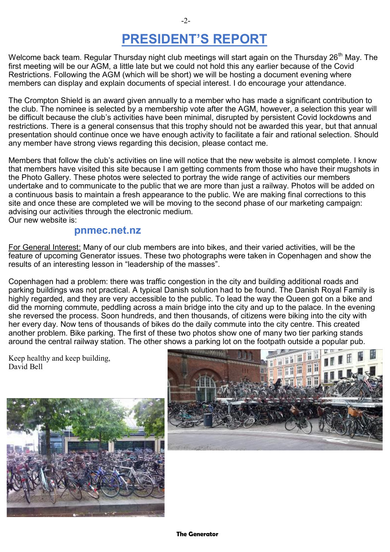## **PRESIDENT'S REPORT**

Welcome back team. Regular Thursday night club meetings will start again on the Thursday 26<sup>th</sup> May. The first meeting will be our AGM, a little late but we could not hold this any earlier because of the Covid Restrictions. Following the AGM (which will be short) we will be hosting a document evening where members can display and explain documents of special interest. I do encourage your attendance.

The Crompton Shield is an award given annually to a member who has made a significant contribution to the club. The nominee is selected by a membership vote after the AGM, however, a selection this year will be difficult because the club's activities have been minimal, disrupted by persistent Covid lockdowns and restrictions. There is a general consensus that this trophy should not be awarded this year, but that annual presentation should continue once we have enough activity to facilitate a fair and rational selection. Should any member have strong views regarding this decision, please contact me.

Members that follow the club's activities on line will notice that the new website is almost complete. I know that members have visited this site because I am getting comments from those who have their mugshots in the Photo Gallery. These photos were selected to portray the wide range of activities our members undertake and to communicate to the public that we are more than just a railway. Photos will be added on a continuous basis to maintain a fresh appearance to the public. We are making final corrections to this site and once these are completed we will be moving to the second phase of our marketing campaign: advising our activities through the electronic medium. Our new website is:

#### **pnmec.net.nz**

For General Interest: Many of our club members are into bikes, and their varied activities, will be the feature of upcoming Generator issues. These two photographs were taken in Copenhagen and show the results of an interesting lesson in "leadership of the masses".

Copenhagen had a problem: there was traffic congestion in the city and building additional roads and parking buildings was not practical. A typical Danish solution had to be found. The Danish Royal Family is highly regarded, and they are very accessible to the public. To lead the way the Queen got on a bike and did the morning commute, peddling across a main bridge into the city and up to the palace. In the evening she reversed the process. Soon hundreds, and then thousands, of citizens were biking into the city with her every day. Now tens of thousands of bikes do the daily commute into the city centre. This created another problem. Bike parking. The first of these two photos show one of many two tier parking stands around the central railway station. The other shows a parking lot on the footpath outside a popular pub.

Keep healthy and keep building, David Bell



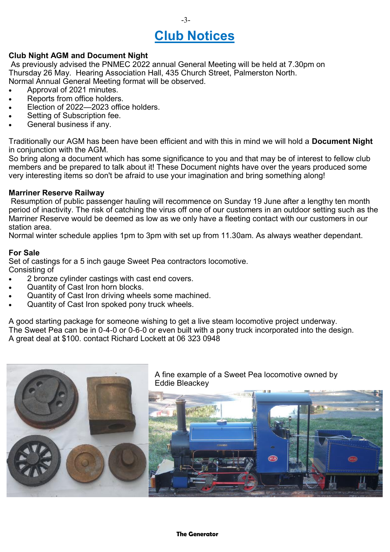# **Club Notices**

-3-

#### **Club Night AGM and Document Night**

As previously advised the PNMEC 2022 annual General Meeting will be held at 7.30pm on Thursday 26 May. Hearing Association Hall, 435 Church Street, Palmerston North. Normal Annual General Meeting format will be observed.

- Approval of 2021 minutes.
- Reports from office holders.
- Election of 2022—2023 office holders.
- Setting of Subscription fee.
- General business if any.

Traditionally our AGM has been have been efficient and with this in mind we will hold a **Document Night**  in conjunction with the AGM.

So bring along a document which has some significance to you and that may be of interest to fellow club members and be prepared to talk about it! These Document nights have over the years produced some very interesting items so don't be afraid to use your imagination and bring something along!

#### **Marriner Reserve Railway**

Resumption of public passenger hauling will recommence on Sunday 19 June after a lengthy ten month period of inactivity. The risk of catching the virus off one of our customers in an outdoor setting such as the Marriner Reserve would be deemed as low as we only have a fleeting contact with our customers in our station area.

Normal winter schedule applies 1pm to 3pm with set up from 11.30am. As always weather dependant.

#### **For Sale**

Set of castings for a 5 inch gauge Sweet Pea contractors locomotive. Consisting of

- 2 bronze cylinder castings with cast end covers.
- Quantity of Cast Iron horn blocks.
- Quantity of Cast Iron driving wheels some machined.
- Quantity of Cast Iron spoked pony truck wheels.

A good starting package for someone wishing to get a live steam locomotive project underway. The Sweet Pea can be in 0-4-0 or 0-6-0 or even built with a pony truck incorporated into the design. A great deal at \$100. contact Richard Lockett at 06 323 0948

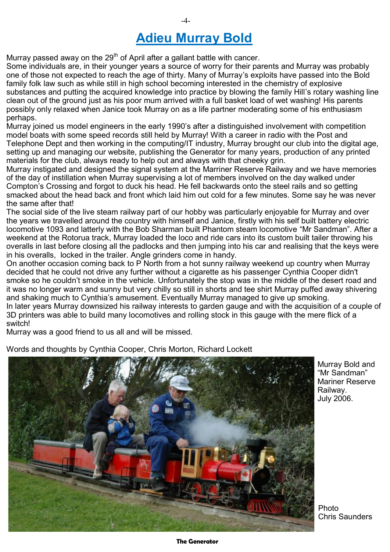## **Adieu Murray Bold**

Murray passed away on the  $29<sup>th</sup>$  of April after a gallant battle with cancer.

Some individuals are, in their younger years a source of worry for their parents and Murray was probably one of those not expected to reach the age of thirty. Many of Murray's exploits have passed into the Bold family folk law such as while still in high school becoming interested in the chemistry of explosive substances and putting the acquired knowledge into practice by blowing the family Hill's rotary washing line clean out of the ground just as his poor mum arrived with a full basket load of wet washing! His parents possibly only relaxed when Janice took Murray on as a life partner moderating some of his enthusiasm perhaps.

Murray joined us model engineers in the early 1990's after a distinguished involvement with competition model boats with some speed records still held by Murray! With a career in radio with the Post and Telephone Dept and then working in the computing/IT industry, Murray brought our club into the digital age, setting up and managing our website, publishing the Generator for many years, production of any printed materials for the club, always ready to help out and always with that cheeky grin.

Murray instigated and designed the signal system at the Marriner Reserve Railway and we have memories of the day of instillation when Murray supervising a lot of members involved on the day walked under Compton's Crossing and forgot to duck his head. He fell backwards onto the steel rails and so getting smacked about the head back and front which laid him out cold for a few minutes. Some say he was never the same after that!

The social side of the live steam railway part of our hobby was particularly enjoyable for Murray and over the years we travelled around the country with himself and Janice, firstly with his self built battery electric locomotive 1093 and latterly with the Bob Sharman built Phantom steam locomotive "Mr Sandman". After a weekend at the Rotorua track, Murray loaded the loco and ride cars into its custom built tailer throwing his overalls in last before closing all the padlocks and then jumping into his car and realising that the keys were in his overalls, locked in the trailer. Angle grinders come in handy.

On another occasion coming back to P North from a hot sunny railway weekend up country when Murray decided that he could not drive any further without a cigarette as his passenger Cynthia Cooper didn't smoke so he couldn't smoke in the vehicle. Unfortunately the stop was in the middle of the desert road and it was no longer warm and sunny but very chilly so still in shorts and tee shirt Murray puffed away shivering and shaking much to Cynthia's amusement. Eventually Murray managed to give up smoking. In later years Murray downsized his railway interests to garden gauge and with the acquisition of a couple of 3D printers was able to build many locomotives and rolling stock in this gauge with the mere flick of a switch!

Murray was a good friend to us all and will be missed.

Words and thoughts by Cynthia Cooper, Chris Morton, Richard Lockett



Murray Bold and "Mr Sandman" Mariner Reserve Railway. July 2006.

Photo Chris Saunders

#### **The Generator**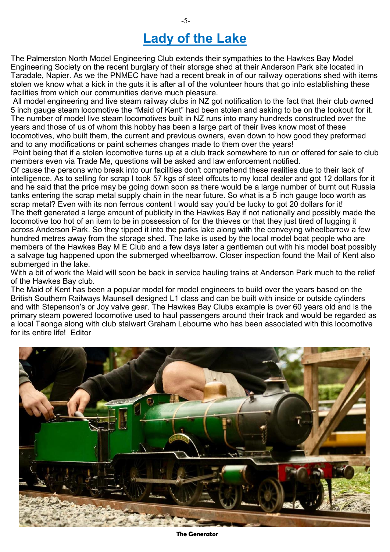## **Lady of the Lake**

The Palmerston North Model Engineering Club extends their sympathies to the Hawkes Bay Model Engineering Society on the recent burglary of their storage shed at their Anderson Park site located in Taradale, Napier. As we the PNMEC have had a recent break in of our railway operations shed with items stolen we know what a kick in the guts it is after all of the volunteer hours that go into establishing these facilities from which our communities derive much pleasure.

All model engineering and live steam railway clubs in NZ got notification to the fact that their club owned 5 inch gauge steam locomotive the "Maid of Kent" had been stolen and asking to be on the lookout for it. The number of model live steam locomotives built in NZ runs into many hundreds constructed over the years and those of us of whom this hobby has been a large part of their lives know most of these locomotives, who built them, the current and previous owners, even down to how good they preformed and to any modifications or paint schemes changes made to them over the years!

Point being that if a stolen locomotive turns up at a club track somewhere to run or offered for sale to club members even via Trade Me, questions will be asked and law enforcement notified.

Of cause the persons who break into our facilities don't comprehend these realities due to their lack of intelligence. As to selling for scrap I took 57 kgs of steel offcuts to my local dealer and got 12 dollars for it and he said that the price may be going down soon as there would be a large number of burnt out Russia tanks entering the scrap metal supply chain in the near future. So what is a 5 inch gauge loco worth as scrap metal? Even with its non ferrous content I would say you'd be lucky to got 20 dollars for it! The theft generated a large amount of publicity in the Hawkes Bay if not nationally and possibly made the locomotive too hot of an item to be in possession of for the thieves or that they just tired of lugging it across Anderson Park. So they tipped it into the parks lake along with the conveying wheelbarrow a few hundred metres away from the storage shed. The lake is used by the local model boat people who are members of the Hawkes Bay M E Club and a few days later a gentleman out with his model boat possibly a salvage tug happened upon the submerged wheelbarrow. Closer inspection found the Mail of Kent also submerged in the lake.

With a bit of work the Maid will soon be back in service hauling trains at Anderson Park much to the relief of the Hawkes Bay club.

The Maid of Kent has been a popular model for model engineers to build over the years based on the British Southern Railways Maunsell designed L1 class and can be built with inside or outside cylinders and with Stepenson's or Joy valve gear. The Hawkes Bay Clubs example is over 60 years old and is the primary steam powered locomotive used to haul passengers around their track and would be regarded as a local Taonga along with club stalwart Graham Lebourne who has been associated with this locomotive for its entire life! Editor